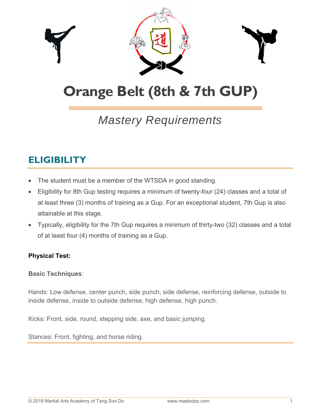

# **Orange Belt (8th & 7th GUP)**

## *Mastery Requirements*

### **ELIGIBILITY**

- The student must be a member of the WTSDA in good standing.
- Eligibility for 8th Gup testing requires a minimum of twenty-four (24) classes and a total of at least three (3) months of training as a Gup. For an exceptional student, 7th Gup is also attainable at this stage.
- Typically, eligibility for the 7th Gup requires a minimum of thirty-two (32) classes and a total of at least four (4) months of training as a Gup.

#### **Physical Test:**

#### **Basic Techniques**:

Hands: Low defense, center punch, side punch, side defense, reinforcing defense, outside to inside defense, inside to outside defense, high defense, high punch.

Kicks: Front, side, round, stepping side, axe, and basic jumping.

Stances: Front, fighting, and horse riding.